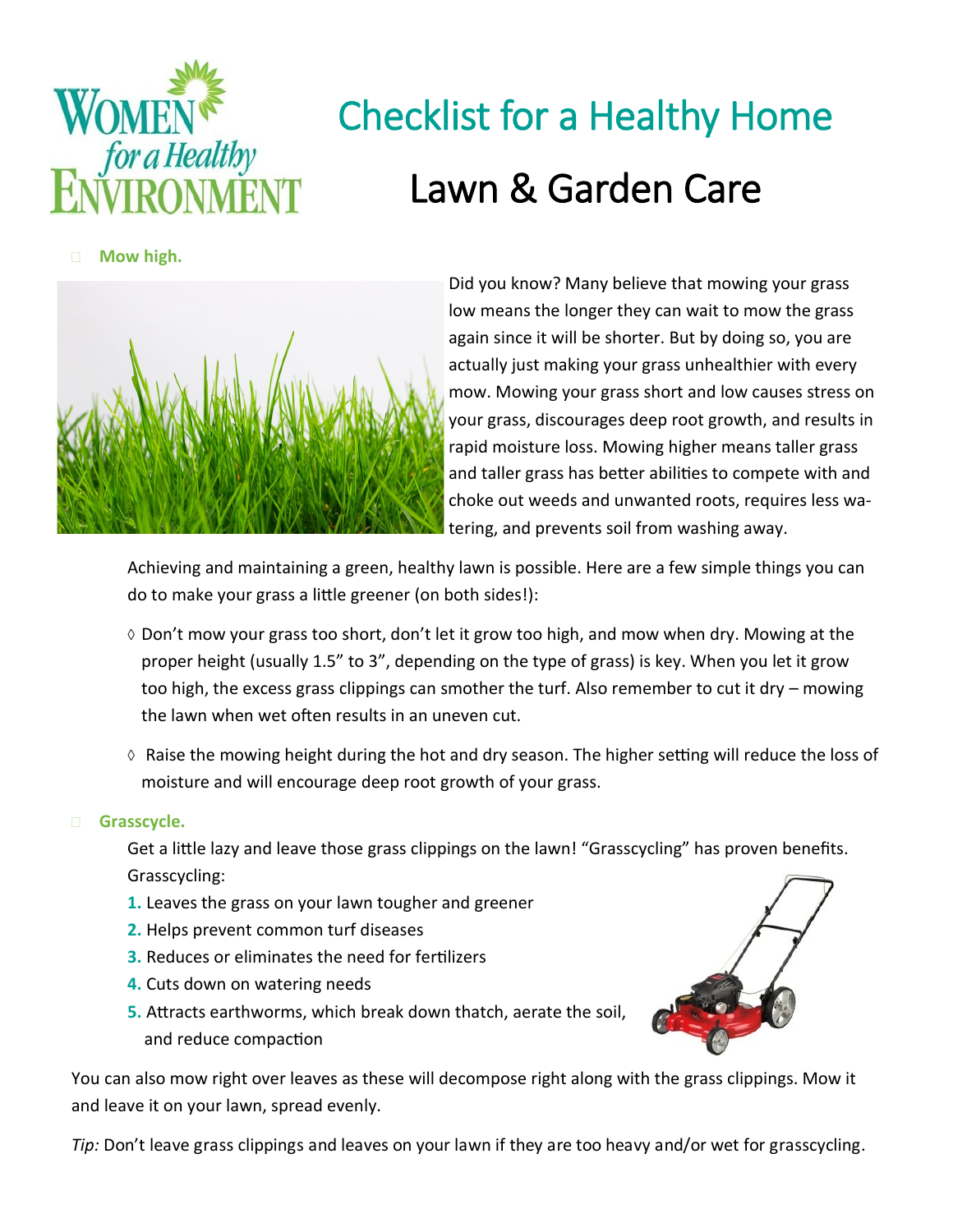

# Checklist for a Healthy Home Lawn & Garden Care

**Mow high.** 



Did you know? Many believe that mowing your grass low means the longer they can wait to mow the grass again since it will be shorter. But by doing so, you are actually just making your grass unhealthier with every mow. Mowing your grass short and low causes stress on your grass, discourages deep root growth, and results in rapid moisture loss. Mowing higher means taller grass and taller grass has better abilities to compete with and choke out weeds and unwanted roots, requires less watering, and prevents soil from washing away.

Achieving and maintaining a green, healthy lawn is possible. Here are a few simple things you can do to make your grass a little greener (on both sides!):

- $\Diamond$  Don't mow your grass too short, don't let it grow too high, and mow when dry. Mowing at the proper height (usually 1.5" to 3", depending on the type of grass) is key. When you let it grow too high, the excess grass clippings can smother the turf. Also remember to cut it dry – mowing the lawn when wet often results in an uneven cut.
- $\Diamond$  Raise the mowing height during the hot and dry season. The higher setting will reduce the loss of moisture and will encourage deep root growth of your grass.

# **Grasscycle.**

Get a little lazy and leave those grass clippings on the lawn! "Grasscycling" has proven benefits. Grasscycling:

- **1.** Leaves the grass on your lawn tougher and greener
- **2.** Helps prevent common turf diseases
- **3.** Reduces or eliminates the need for fertilizers
- **4.** Cuts down on watering needs
- **5.** Attracts earthworms, which break down thatch, aerate the soil, and reduce compaction

You can also mow right over leaves as these will decompose right along with the grass clippings. Mow it and leave it on your lawn, spread evenly.

*Tip:* Don't leave grass clippings and leaves on your lawn if they are too heavy and/or wet for grasscycling.